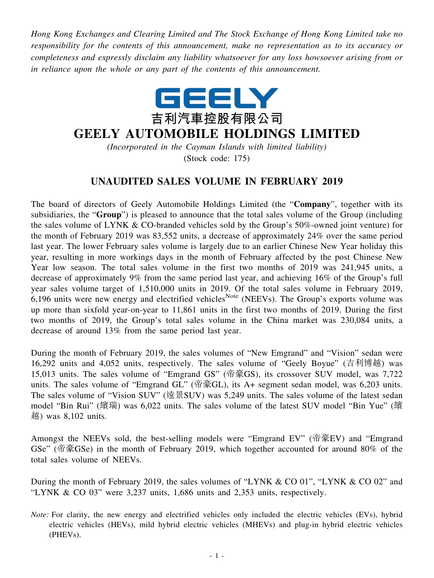*Hong Kong Exchanges and Clearing Limited and The Stock Exchange of Hong Kong Limited take no responsibility for the contents of this announcement, make no representation as to its accuracy or completeness and expressly disclaim any liability whatsoever for any loss howsoever arising from or in reliance upon the whole or any part of the contents of this announcement.*



## **GEELY AUTOMOBILE HOLDINGS LIMITED**

*(Incorporated in the Cayman Islands with limited liability)*

(Stock code: 175)

## **UNAUDITED SALES VOLUME IN FEBRUARY 2019**

The board of directors of Geely Automobile Holdings Limited (the "**Company**", together with its subsidiaries, the "**Group**") is pleased to announce that the total sales volume of the Group (including the sales volume of LYNK & CO-branded vehicles sold by the Group's 50%-owned joint venture) for the month of February 2019 was 83,552 units, a decrease of approximately 24% over the same period last year. The lower February sales volume is largely due to an earlier Chinese New Year holiday this year, resulting in more workings days in the month of February affected by the post Chinese New Year low season. The total sales volume in the first two months of 2019 was 241,945 units, a decrease of approximately 9% from the same period last year, and achieving 16% of the Group's full year sales volume target of 1,510,000 units in 2019. Of the total sales volume in February 2019, 6,196 units were new energy and electrified vehicles<sup>Note</sup> (NEEVs). The Group's exports volume was up more than sixfold year-on-year to 11,861 units in the first two months of 2019. During the first two months of 2019, the Group's total sales volume in the China market was 230,084 units, a decrease of around 13% from the same period last year.

During the month of February 2019, the sales volumes of "New Emgrand" and "Vision" sedan were 16,292 units and 4,052 units, respectively. The sales volume of "Geely Boyue" (吉利博越) was 15,013 units. The sales volume of "Emgrand GS" (帝豪GS), its crossover SUV model, was 7,722 units. The sales volume of "Emgrand GL" (帝豪GL), its A+ segment sedan model, was 6,203 units. The sales volume of "Vision SUV" (遠景SUV) was 5,249 units. The sales volume of the latest sedan model "Bin Rui" (繽瑞) was 6,022 units. The sales volume of the latest SUV model "Bin Yue" (繽 越) was 8,102 units.

Amongst the NEEVs sold, the best-selling models were "Emgrand EV" (帝豪EV) and "Emgrand GSe" (帝豪GSe) in the month of February 2019, which together accounted for around 80% of the total sales volume of NEEVs.

During the month of February 2019, the sales volumes of "LYNK & CO 01", "LYNK & CO 02" and "LYNK & CO 03" were 3,237 units, 1,686 units and 2,353 units, respectively.

*Note:* For clarity, the new energy and electrified vehicles only included the electric vehicles (EVs), hybrid electric vehicles (HEVs), mild hybrid electric vehicles (MHEVs) and plug-in hybrid electric vehicles (PHEVs).